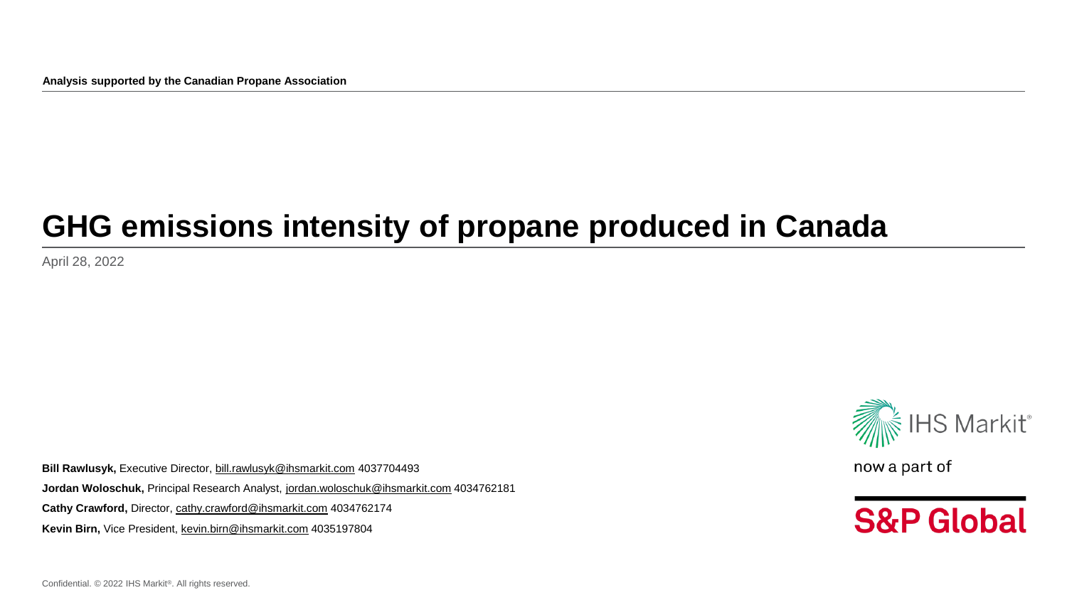**Analysis supported by the Canadian Propane Association**

## **GHG emissions intensity of propane produced in Canada**

April 28, 2022

**Bill Rawlusyk,** Executive Director, [bill.rawlusyk@ihsmarkit.com](mailto:bill.rawlusyk@ihsmarkit.com) 4037704493 **Jordan Woloschuk,** Principal Research Analyst, [jordan.woloschuk@ihsmarkit.com](mailto:Jordan.woloschuk@ihsmarkit.com) 4034762181 Cathy Crawford, Director, [cathy.crawford@ihsmarkit.com](mailto:cathy.crawford@ihsmarkit.com) 4034762174 **Kevin Birn,** Vice President, [kevin.birn@ihsmarkit.com](mailto:kevin.birn@ihsmarkit.com) 4035197804



now a part of

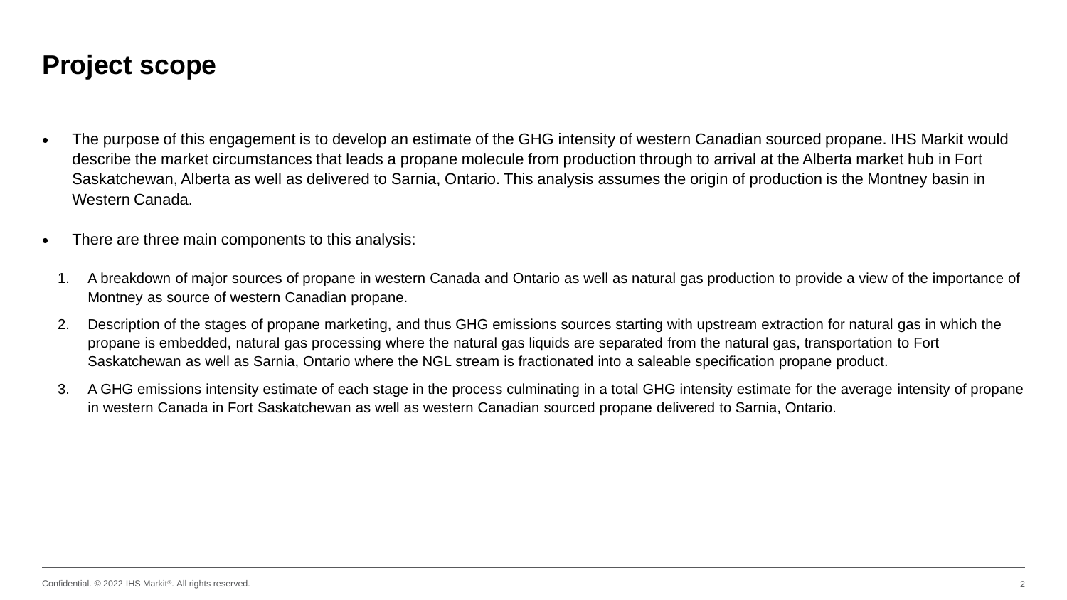#### **Project scope**

- The purpose of this engagement is to develop an estimate of the GHG intensity of western Canadian sourced propane. IHS Markit would describe the market circumstances that leads a propane molecule from production through to arrival at the Alberta market hub in Fort Saskatchewan, Alberta as well as delivered to Sarnia, Ontario. This analysis assumes the origin of production is the Montney basin in Western Canada.
- There are three main components to this analysis:
- 1. A breakdown of major sources of propane in western Canada and Ontario as well as natural gas production to provide a view of the importance of Montney as source of western Canadian propane.
- 2. Description of the stages of propane marketing, and thus GHG emissions sources starting with upstream extraction for natural gas in which the propane is embedded, natural gas processing where the natural gas liquids are separated from the natural gas, transportation to Fort Saskatchewan as well as Sarnia, Ontario where the NGL stream is fractionated into a saleable specification propane product.
- 3. A GHG emissions intensity estimate of each stage in the process culminating in a total GHG intensity estimate for the average intensity of propane in western Canada in Fort Saskatchewan as well as western Canadian sourced propane delivered to Sarnia, Ontario.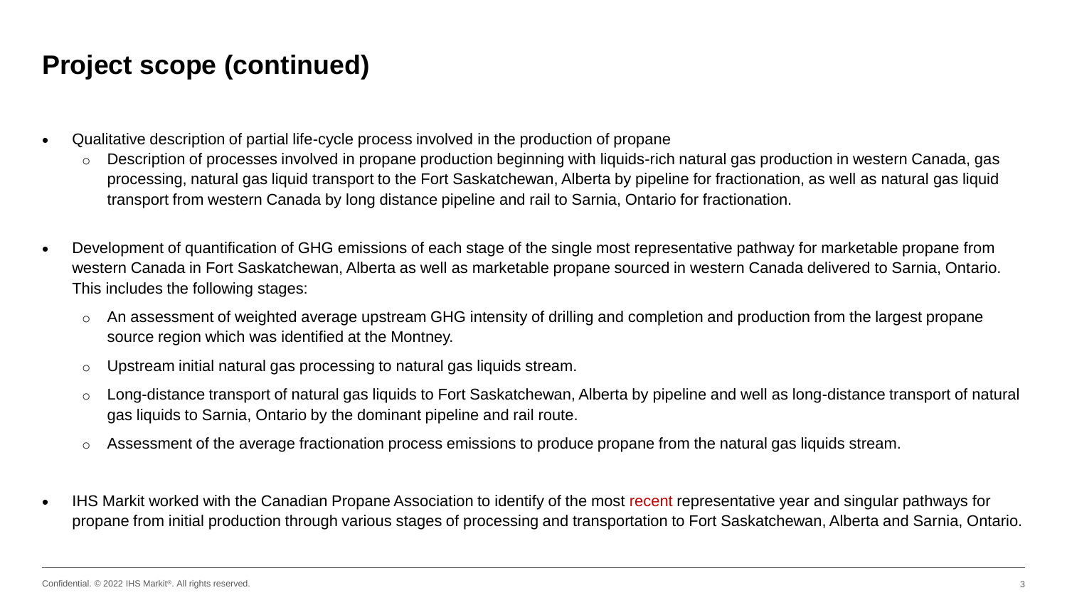#### **Project scope (continued)**

- Qualitative description of partial life-cycle process involved in the production of propane
	- o Description of processes involved in propane production beginning with liquids-rich natural gas production in western Canada, gas processing, natural gas liquid transport to the Fort Saskatchewan, Alberta by pipeline for fractionation, as well as natural gas liquid transport from western Canada by long distance pipeline and rail to Sarnia, Ontario for fractionation.
- Development of quantification of GHG emissions of each stage of the single most representative pathway for marketable propane from western Canada in Fort Saskatchewan, Alberta as well as marketable propane sourced in western Canada delivered to Sarnia, Ontario. This includes the following stages:
	- o An assessment of weighted average upstream GHG intensity of drilling and completion and production from the largest propane source region which was identified at the Montney.
	- o Upstream initial natural gas processing to natural gas liquids stream.
	- o Long-distance transport of natural gas liquids to Fort Saskatchewan, Alberta by pipeline and well as long-distance transport of natural gas liquids to Sarnia, Ontario by the dominant pipeline and rail route.
	- o Assessment of the average fractionation process emissions to produce propane from the natural gas liquids stream.
- IHS Markit worked with the Canadian Propane Association to identify of the most recent representative year and singular pathways for propane from initial production through various stages of processing and transportation to Fort Saskatchewan, Alberta and Sarnia, Ontario.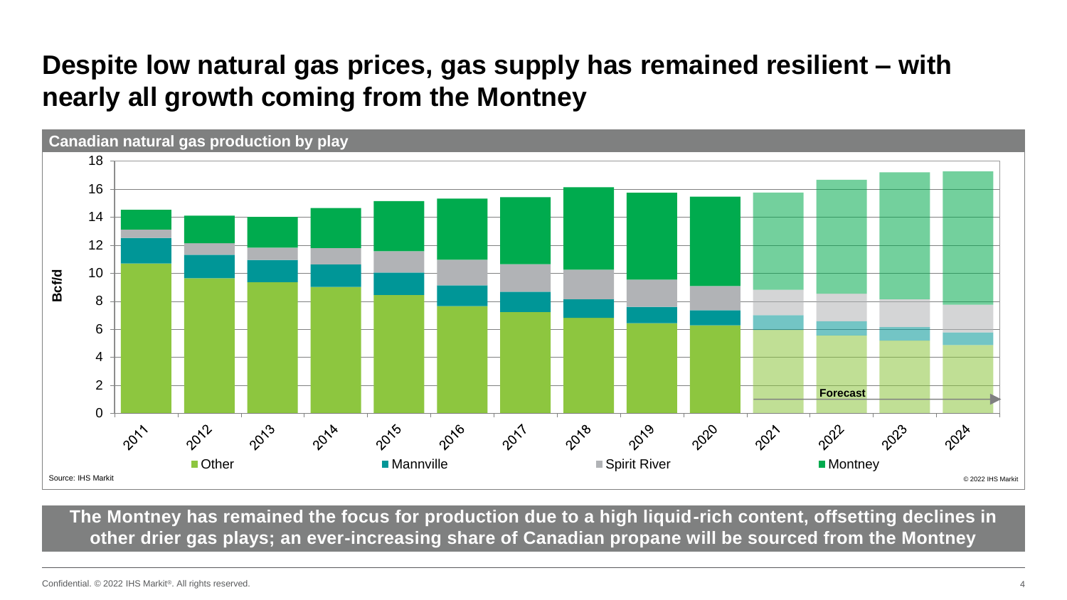### **Despite low natural gas prices, gas supply has remained resilient – with nearly all growth coming from the Montney**



**The Montney has remained the focus for production due to a high liquid-rich content, offsetting declines in other drier gas plays; an ever-increasing share of Canadian propane will be sourced from the Montney**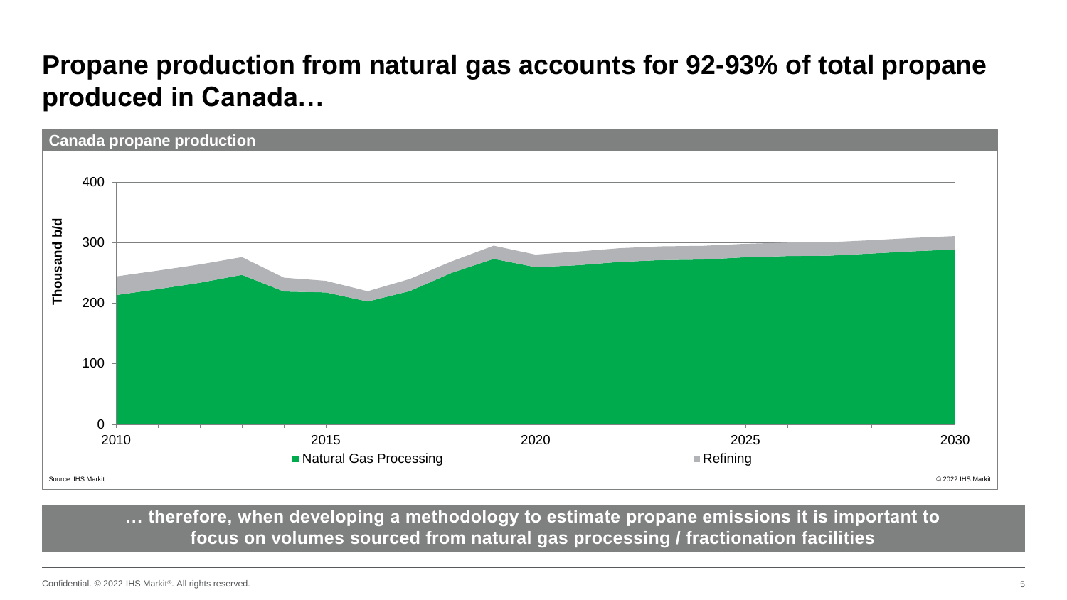### **Propane production from natural gas accounts for 92-93% of total propane produced in Canada…**



**… therefore, when developing a methodology to estimate propane emissions it is important to focus on volumes sourced from natural gas processing / fractionation facilities**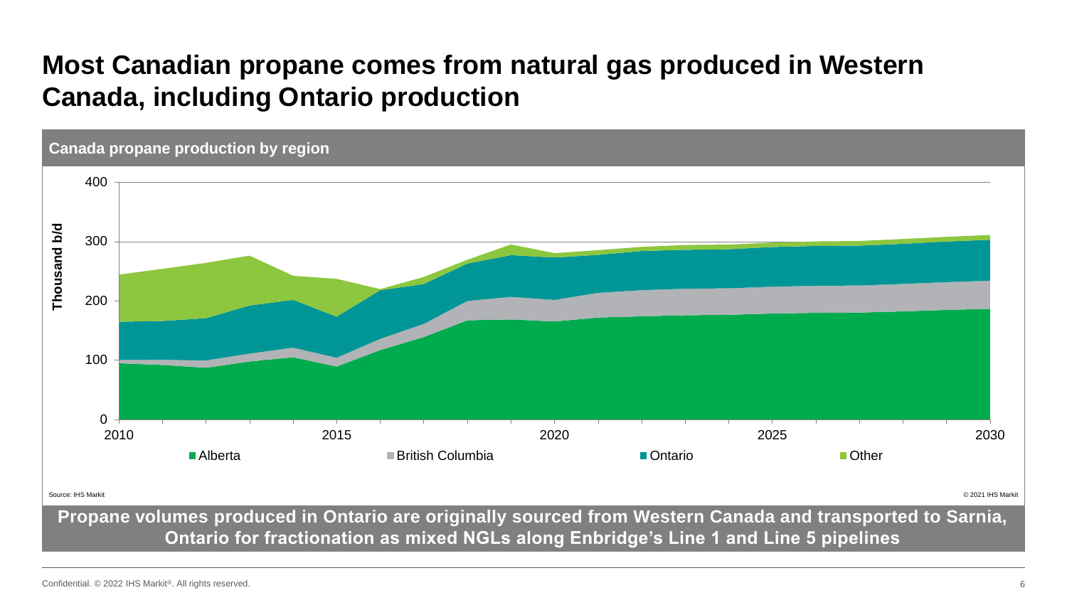### **Most Canadian propane comes from natural gas produced in Western Canada, including Ontario production**



**Ontario for fractionation as mixed NGLs along Enbridge's Line 1 and Line 5 pipelines**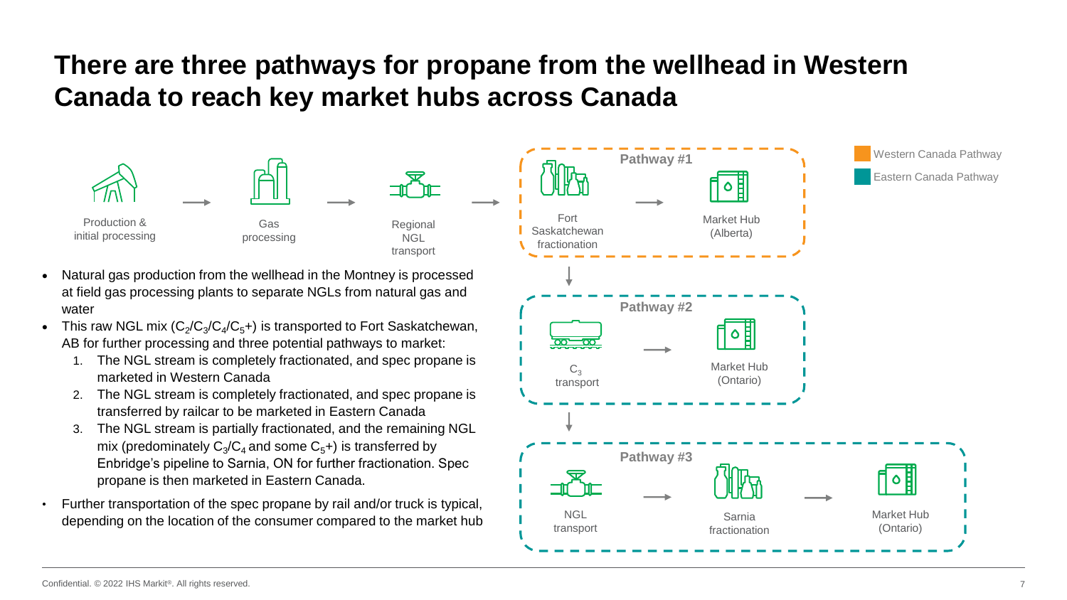### **There are three pathways for propane from the wellhead in Western Canada to reach key market hubs across Canada**

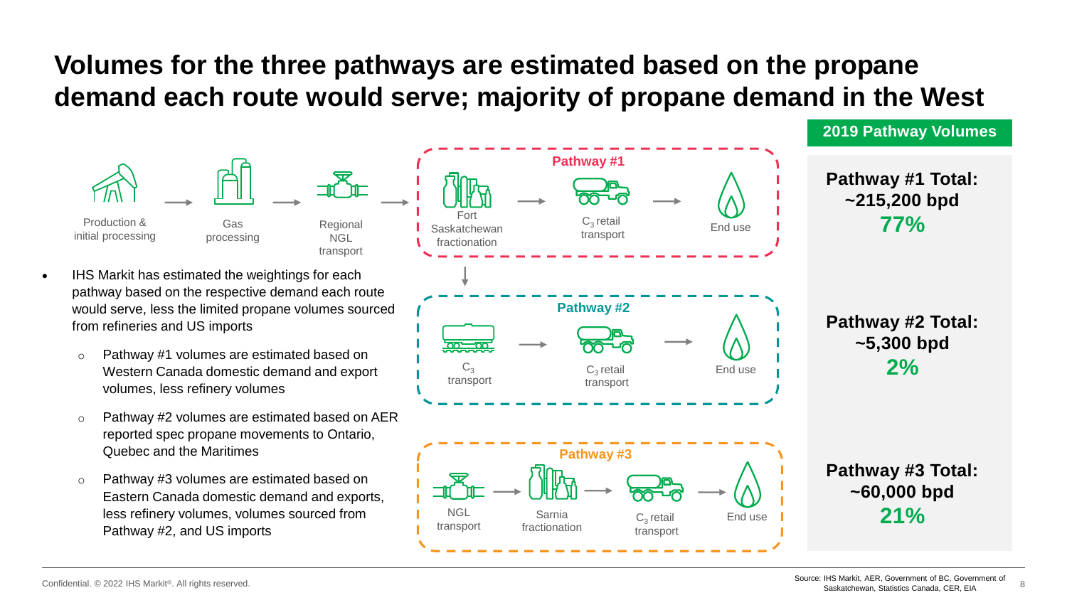### **Volumes for the three pathways are estimated based on the propane demand each route would serve; majority of propane demand in the West**

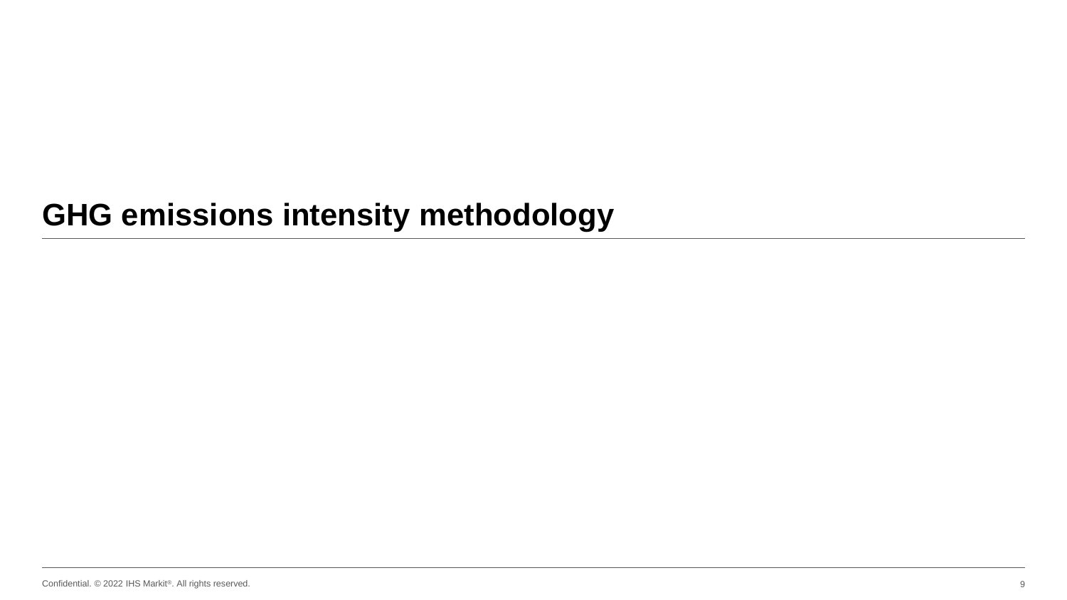# **GHG emissions intensity methodology**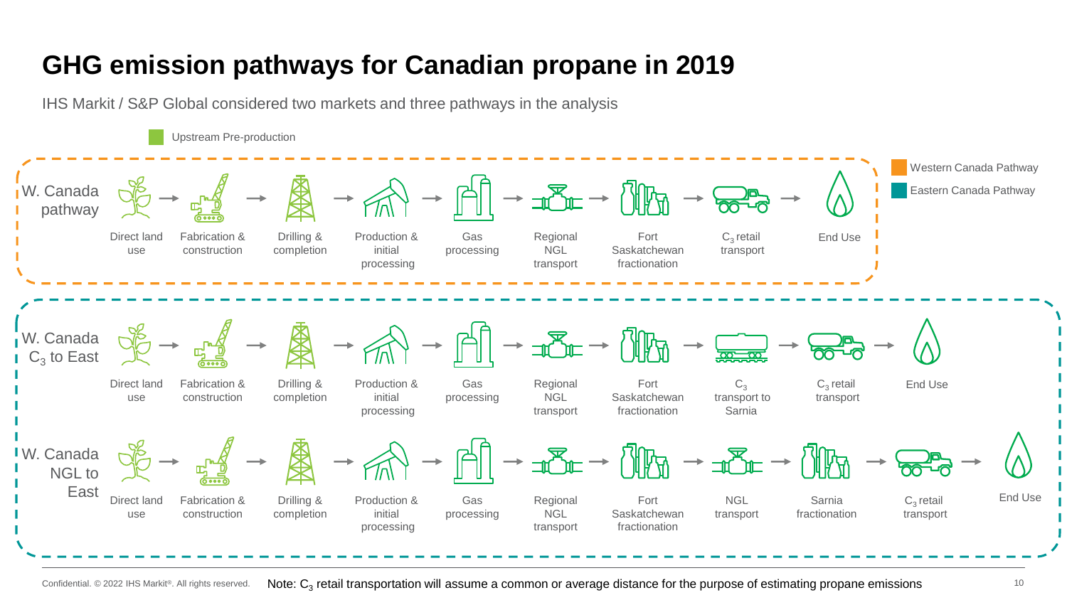### **GHG emission pathways for Canadian propane in 2019**



Confidential. © 2022 IHS Markit®. All rights reserved. Note:  ${\sf C}_3$  retail transportation will assume a common or average distance for the purpose of estimating propane emissions  $^{10}$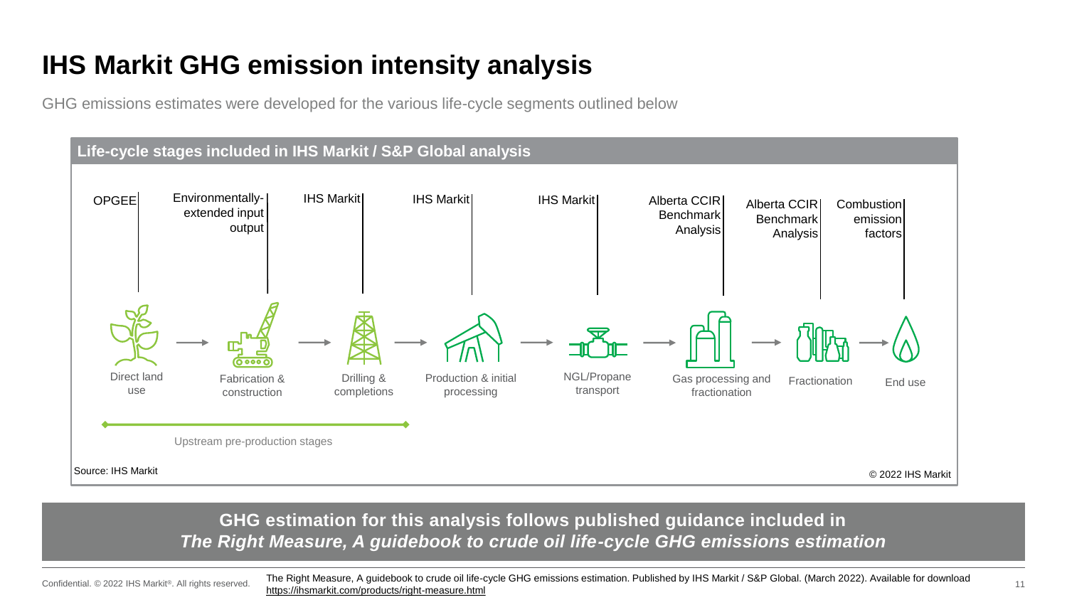### **IHS Markit GHG emission intensity analysis**

GHG emissions estimates were developed for the various life-cycle segments outlined below



#### **GHG estimation for this analysis follows published guidance included in**  *The Right Measure, A guidebook to crude oil life-cycle GHG emissions estimation*

Confidential. © 2022 IHS Markit®. All rights reserved.

The Right Measure, A guidebook to crude oil life-cycle GHG emissions estimation. Published by IHS Markit / S&P Global. (March 2022). Available for download <https://ihsmarkit.com/products/right-measure.html>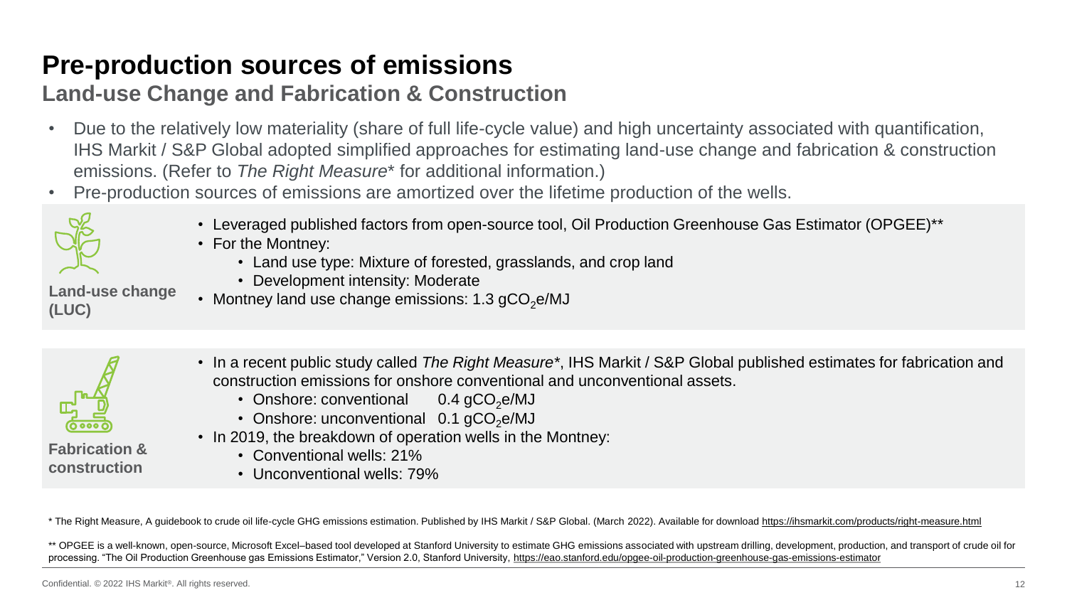### **Pre-production sources of emissions**

#### **Land-use Change and Fabrication & Construction**

- Due to the relatively low materiality (share of full life-cycle value) and high uncertainty associated with quantification, IHS Markit / S&P Global adopted simplified approaches for estimating land-use change and fabrication & construction emissions. (Refer to *The Right Measure*\* for additional information.)
- Pre-production sources of emissions are amortized over the lifetime production of the wells.



**(LUC)**

- Leveraged published factors from open-source tool, Oil Production Greenhouse Gas Estimator (OPGEE)\*\*
- For the Montney:
	- Land use type: Mixture of forested, grasslands, and crop land
	- Development intensity: Moderate
- **Land-use change**  • Montney land use change emissions: 1.3  $qCO<sub>2</sub>e/MJ$



**construction**

- In a recent public study called *The Right Measure\**, IHS Markit / S&P Global published estimates for fabrication and construction emissions for onshore conventional and unconventional assets.
	- Onshore: conventional  $0.4$  gCO<sub>2</sub>e/MJ
	- Onshore: unconventional  $0.1$  gCO<sub>2</sub>e/MJ
- In 2019, the breakdown of operation wells in the Montney:
	- Conventional wells: 21%
	- Unconventional wells: 79%

\* The Right Measure, A guidebook to crude oil life-cycle GHG emissions estimation. Published by IHS Markit / S&P Global. (March 2022). Available for download <https://ihsmarkit.com/products/right-measure.html>

\*\* OPGEE is a well-known, open-source, Microsoft Excel–based tool developed at Stanford University to estimate GHG emissions associated with upstream drilling, development, production, and transport of crude oil for processing. "The Oil Production Greenhouse gas Emissions Estimator," Version 2.0, Stanford University, <https://eao.stanford.edu/opgee-oil-production-greenhouse-gas-emissions-estimator>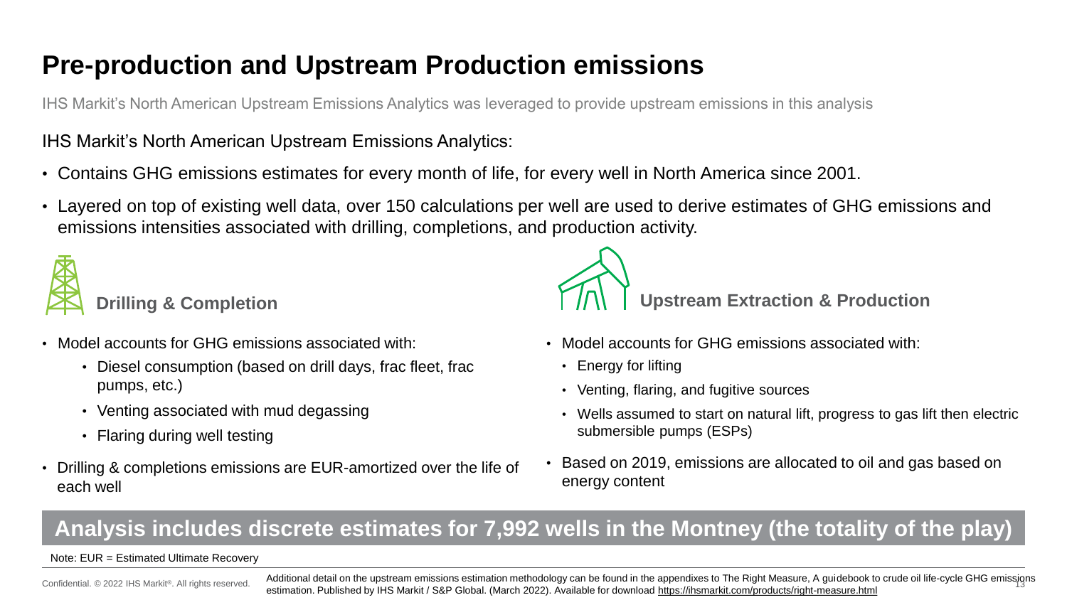### **Pre-production and Upstream Production emissions**

IHS Markit's North American Upstream Emissions Analytics was leveraged to provide upstream emissions in this analysis

#### IHS Markit's North American Upstream Emissions Analytics:

- Contains GHG emissions estimates for every month of life, for every well in North America since 2001.
- Layered on top of existing well data, over 150 calculations per well are used to derive estimates of GHG emissions and emissions intensities associated with drilling, completions, and production activity.



- Model accounts for GHG emissions associated with:
	- Diesel consumption (based on drill days, frac fleet, frac pumps, etc.)
	- Venting associated with mud degassing
	- Flaring during well testing
- Drilling & completions emissions are EUR-amortized over the life of each well



- Model accounts for GHG emissions associated with:
	- Energy for lifting
	- Venting, flaring, and fugitive sources
	- Wells assumed to start on natural lift, progress to gas lift then electric submersible pumps (ESPs)
- Based on 2019, emissions are allocated to oil and gas based on energy content

#### **Analysis includes discrete estimates for 7,992 wells in the Montney (the totality of the play)**

#### Note: EUR = Estimated Ultimate Recovery

Confidential. © 2022 IHS Markit®. All rights reserved.

Additional detail on the upstream emissions estimation methodology can be found in the appendixes to The Right Measure, A guidebook to crude oil life-cycle GHG emissions estimation. Published by IHS Markit / S&P Global. (March 2022). Available for download <https://ihsmarkit.com/products/right-measure.html>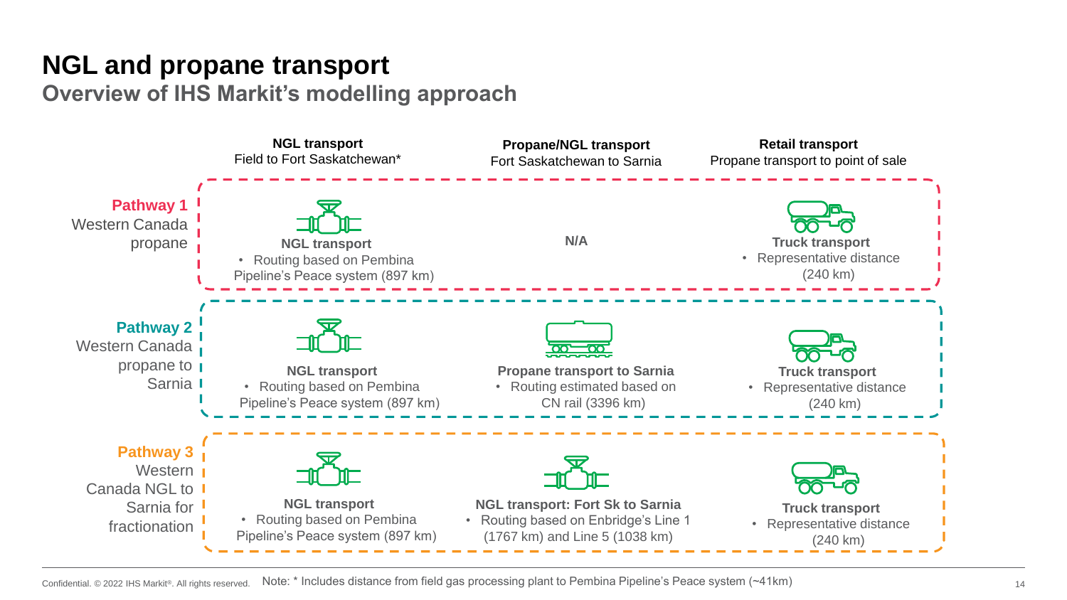## **NGL and propane transport**

**Overview of IHS Markit's modelling approach**

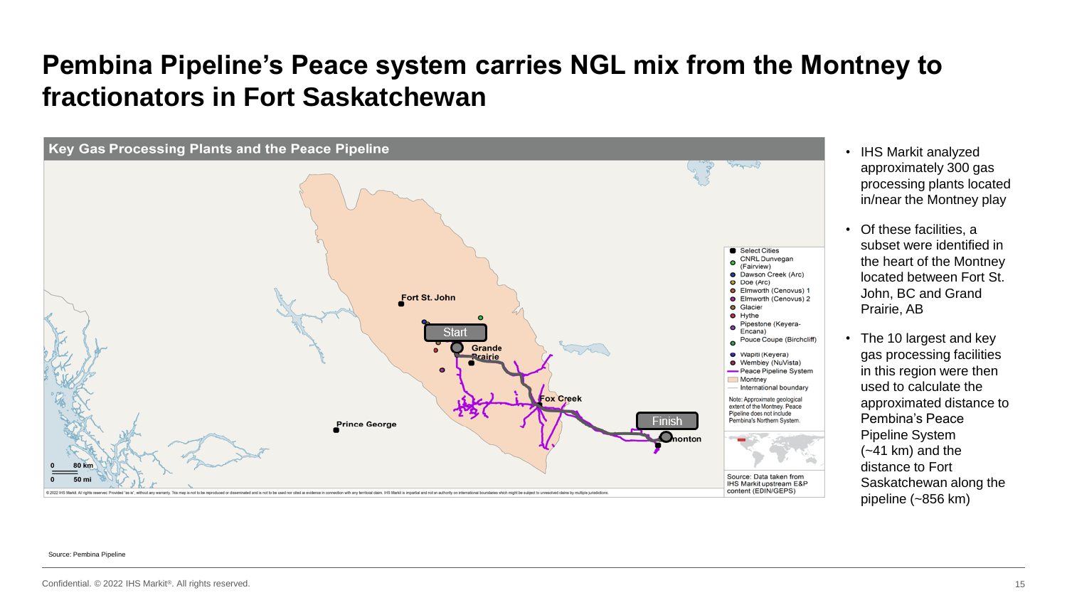### **Pembina Pipeline's Peace system carries NGL mix from the Montney to fractionators in Fort Saskatchewan**



- IHS Markit analyzed approximately 300 gas processing plants located in/near the Montney play
- Of these facilities, a subset were identified in the heart of the Montney located between Fort St. John, BC and Grand Prairie, AB
- The 10 largest and key gas processing facilities in this region were then used to calculate the approximated distance to Pembina's Peace Pipeline System  $(-41 \text{ km})$  and the distance to Fort Saskatchewan along the pipeline (~856 km)

#### Source: Pembina Pipeline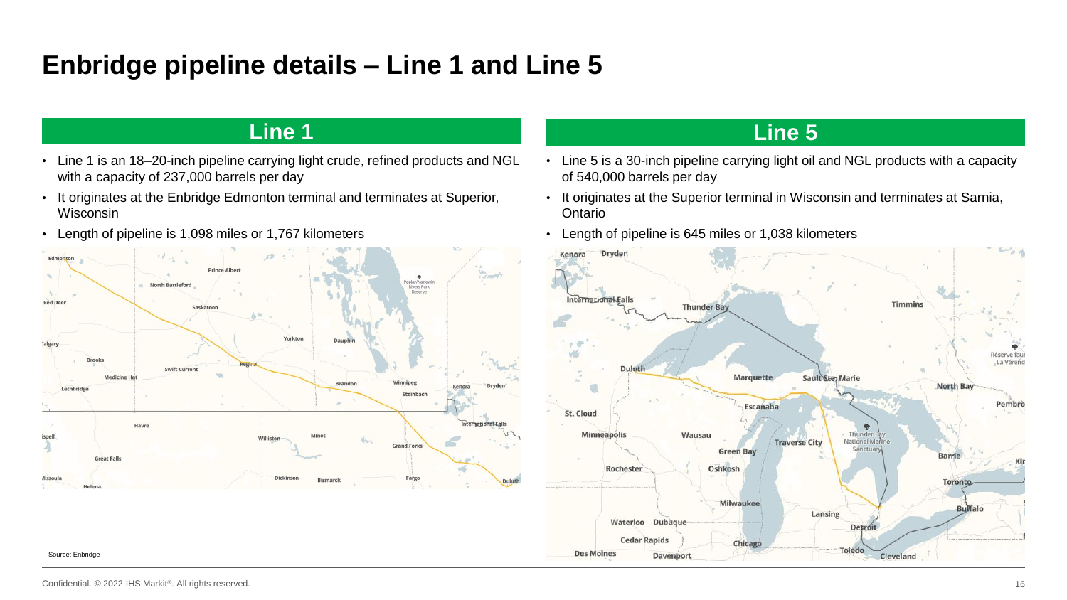### **Enbridge pipeline details – Line 1 and Line 5**

#### **Line 1 Line 5**

- Line 1 is an 18–20-inch pipeline carrying light crude, refined products and NGL with a capacity of 237,000 barrels per day
- It originates at the Enbridge Edmonton terminal and terminates at Superior, Wisconsin
- Length of pipeline is 1,098 miles or 1,767 kilometers



- Line 5 is a 30-inch pipeline carrying light oil and NGL products with a capacity of 540,000 barrels per day
- It originates at the Superior terminal in Wisconsin and terminates at Sarnia, Ontario
- Length of pipeline is 645 miles or 1,038 kilometers



Source: Enbridge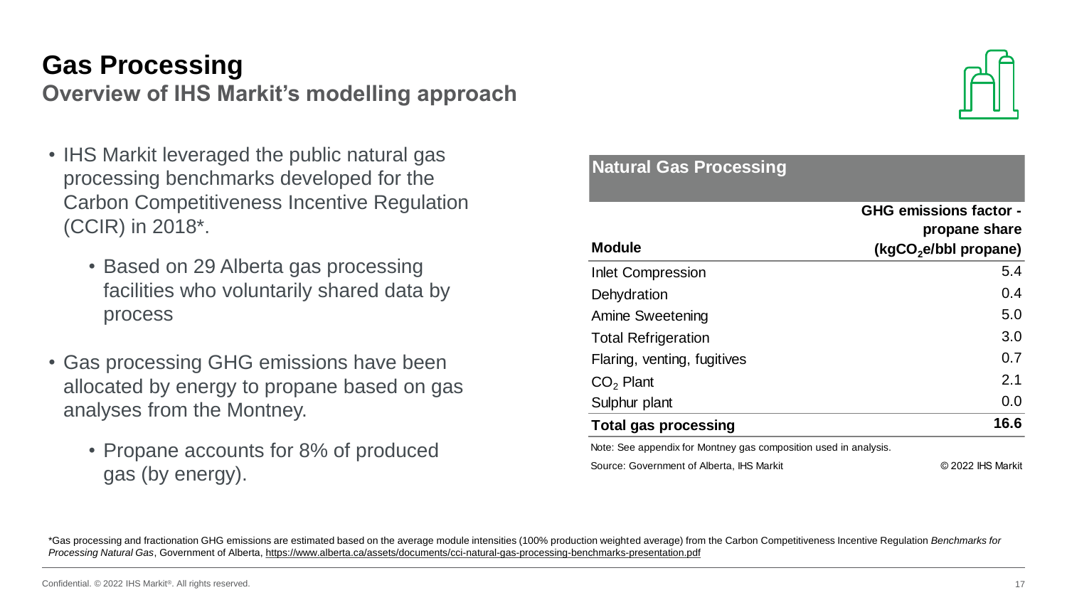#### **Gas Processing**

**Overview of IHS Markit's modelling approach**

- IHS Markit leveraged the public natural gas processing benchmarks developed for the Carbon Competitiveness Incentive Regulation (CCIR) in 2018\*.
	- Based on 29 Alberta gas processing facilities who voluntarily shared data by process
- Gas processing GHG emissions have been allocated by energy to propane based on gas analyses from the Montney.
	- Propane accounts for 8% of produced gas (by energy).



| <b>Natural Gas Processing</b>                                    |                                                |
|------------------------------------------------------------------|------------------------------------------------|
|                                                                  | <b>GHG emissions factor -</b><br>propane share |
| <b>Module</b>                                                    | $(kgCO2e/bbl$ propane)                         |
| <b>Inlet Compression</b>                                         | 5.4                                            |
| Dehydration                                                      | 0.4                                            |
| <b>Amine Sweetening</b>                                          | 5.0                                            |
| <b>Total Refrigeration</b>                                       | 3.0                                            |
| Flaring, venting, fugitives                                      | 0.7                                            |
| $CO2$ Plant                                                      | 2.1                                            |
| Sulphur plant                                                    | 0.0                                            |
| <b>Total gas processing</b>                                      | 16.6                                           |
| Note: See appendix for Montney gas composition used in analysis. |                                                |
| Source: Government of Alberta, IHS Markit                        | © 2022 IHS Markit                              |

\*Gas processing and fractionation GHG emissions are estimated based on the average module intensities (100% production weighted average) from the Carbon Competitiveness Incentive Regulation *Benchmarks for Processing Natural Gas*, Government of Alberta,<https://www.alberta.ca/assets/documents/cci-natural-gas-processing-benchmarks-presentation.pdf>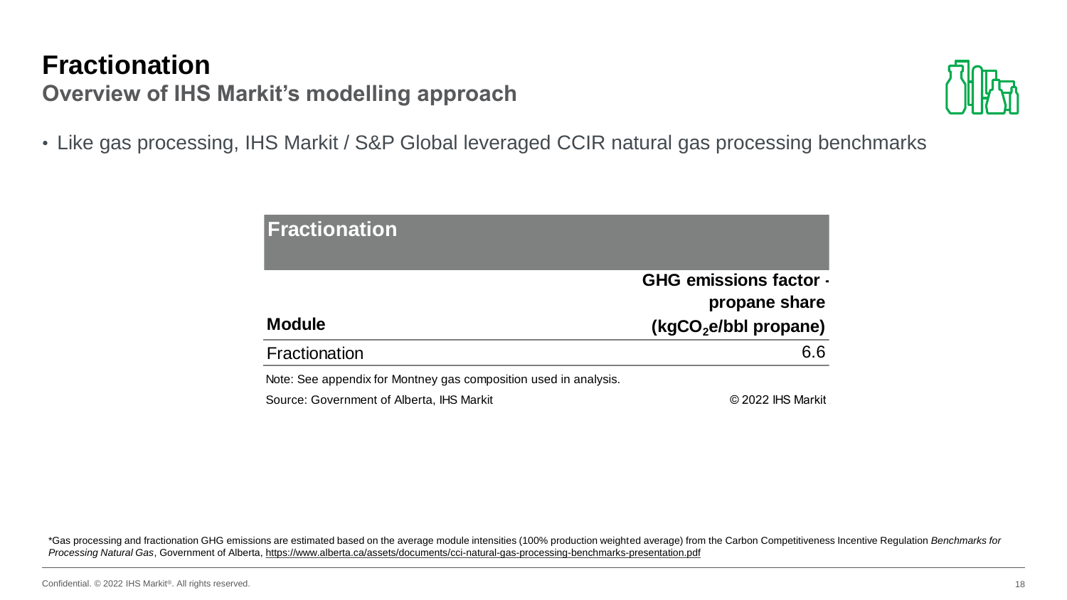### **Fractionation**

**Overview of IHS Markit's modelling approach**



• Like gas processing, IHS Markit / S&P Global leveraged CCIR natural gas processing benchmarks

| <b> Fractionation</b>                                            |                                                |
|------------------------------------------------------------------|------------------------------------------------|
|                                                                  | <b>GHG emissions factor -</b><br>propane share |
| <b>Module</b>                                                    | (kgCO <sub>2</sub> e/bbl propane)              |
| <b>Fractionation</b>                                             | 6.6                                            |
| Note: See appendix for Montney gas composition used in analysis. |                                                |
| Source: Government of Alberta, IHS Markit                        | © 2022 IHS Markit                              |

\*Gas processing and fractionation GHG emissions are estimated based on the average module intensities (100% production weighted average) from the Carbon Competitiveness Incentive Regulation *Benchmarks for Processing Natural Gas*, Government of Alberta,<https://www.alberta.ca/assets/documents/cci-natural-gas-processing-benchmarks-presentation.pdf>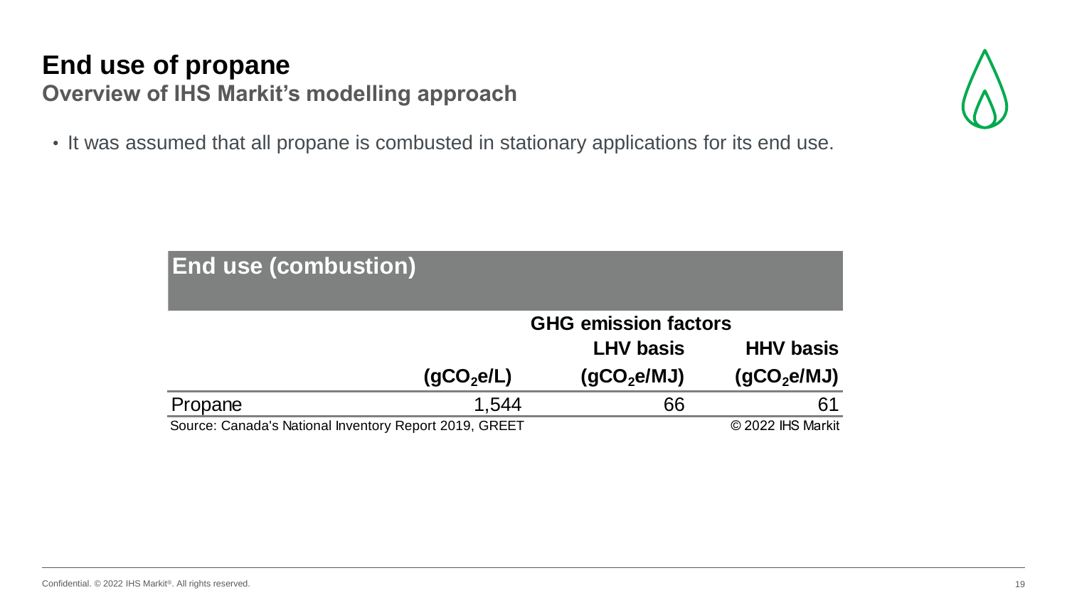## **End use of propane**

**Overview of IHS Markit's modelling approach**

• It was assumed that all propane is combusted in stationary applications for its end use.

| <b>End use (combustion)</b>                                                 |                        |                             |                         |  |  |  |  |
|-----------------------------------------------------------------------------|------------------------|-----------------------------|-------------------------|--|--|--|--|
|                                                                             |                        | <b>GHG emission factors</b> |                         |  |  |  |  |
|                                                                             |                        | <b>LHV basis</b>            | <b>HHV basis</b>        |  |  |  |  |
|                                                                             | (gCO <sub>2</sub> elL) | (gCO <sub>2</sub> e/MJ)     | (qCO <sub>2</sub> e/MJ) |  |  |  |  |
| Propane                                                                     | 1.544                  | 66                          | 61                      |  |  |  |  |
| © 2022 IHS Markit<br>Source: Canada's National Inventory Report 2019, GREET |                        |                             |                         |  |  |  |  |

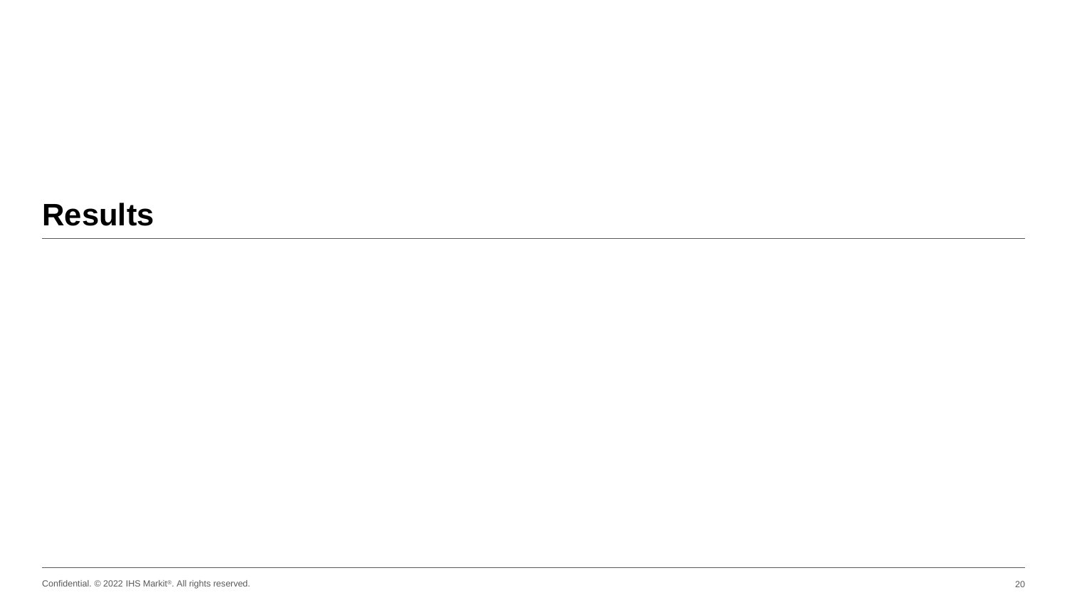### **Results**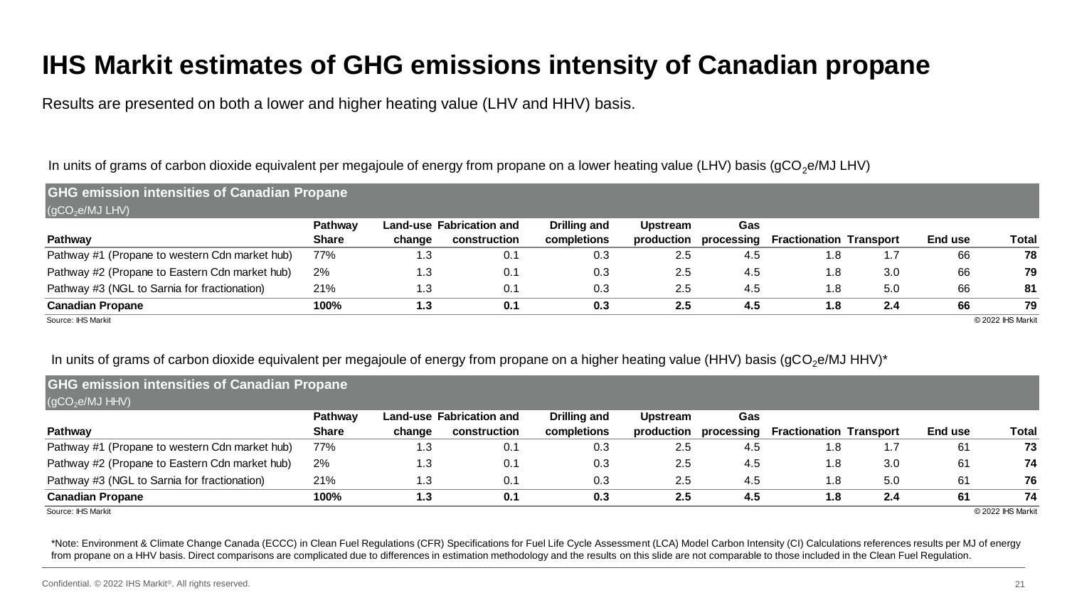### **IHS Markit estimates of GHG emissions intensity of Canadian propane**

Results are presented on both a lower and higher heating value (LHV and HHV) basis.

#### In units of grams of carbon dioxide equivalent per megajoule of energy from propane on a lower heating value (LHV) basis (gCO<sub>2</sub>e/MJ LHV)

| <b>GHG emission intensities of Canadian Propane</b> |              |        |                          |              |                 |            |                                |     |         |                   |
|-----------------------------------------------------|--------------|--------|--------------------------|--------------|-----------------|------------|--------------------------------|-----|---------|-------------------|
| $\overline{QCO_2e/MJ}$ LHV)                         |              |        |                          |              |                 |            |                                |     |         |                   |
|                                                     | Pathway      |        | Land-use Fabrication and | Drilling and | <b>Upstream</b> | Gas        |                                |     |         |                   |
| Pathway                                             | <b>Share</b> | change | construction             | completions  | production      | processing | <b>Fractionation Transport</b> |     | End use | Total             |
| Pathway #1 (Propane to western Cdn market hub)      | 77%          | 1.3    | 0.1                      | 0.3          | 2.5             | 4.5        | 1.8 <sup>°</sup>               |     | 66      | 78                |
| Pathway #2 (Propane to Eastern Cdn market hub)      | 2%           | 1.3    | 0.1                      | 0.3          | 2.5             | 4.5        | 1.8                            | 3.0 | 66      | 79                |
| Pathway #3 (NGL to Sarnia for fractionation)        | 21%          | 1.3    | 0.1                      | 0.3          | 2.5             | 4.5        | 1.8                            | 5.0 | 66      | 81                |
| <b>Canadian Propane</b>                             | 100%         | 1.3    | 0.1                      | 0.3          | 2.5             | 4.5        | 1.8                            | 2.4 | 66      | 79                |
| Source: IHS Markit                                  |              |        |                          |              |                 |            |                                |     |         | © 2022 IHS Markit |

#### In units of grams of carbon dioxide equivalent per megajoule of energy from propane on a higher heating value (HHV) basis (gCO<sub>2</sub>e/MJ HHV)\*

| ັ                                                   |              | ີ      | ັ                               | ີ            | ັ               |            | $\checkmark$                   |     |         |                   |
|-----------------------------------------------------|--------------|--------|---------------------------------|--------------|-----------------|------------|--------------------------------|-----|---------|-------------------|
| <b>GHG emission intensities of Canadian Propane</b> |              |        |                                 |              |                 |            |                                |     |         |                   |
| $\overline{(\text{gCO}_2\text{e/MJ HHV})}$          |              |        |                                 |              |                 |            |                                |     |         |                   |
|                                                     | Pathway      |        | <b>Land-use Fabrication and</b> | Drilling and | <b>Upstream</b> | <b>Gas</b> |                                |     |         |                   |
| Pathway                                             | <b>Share</b> | change | construction                    | completions  | production      | processing | <b>Fractionation Transport</b> |     | End use | Total             |
| Pathway #1 (Propane to western Cdn market hub)      | 77%          | 1.3    | 0.1                             | 0.3          | 2.5             | 4.5        | 1.8                            |     | 61      | 73                |
| Pathway #2 (Propane to Eastern Cdn market hub)      | 2%           | 1.3    | 0.1                             | 0.3          | 2.5             | 4.5        | 1.8                            | 3.0 | 61      | 74                |
| Pathway #3 (NGL to Sarnia for fractionation)        | 21%          | 1.3    | 0.1                             | 0.3          | 2.5             | 4.5        | 1.8                            | 5.0 | 61      | 76                |
| <b>Canadian Propane</b>                             | 100%         | 1.3    | 0.1                             | 0.3          | 2.5             | 4.5        | 1.8                            | 2.4 | 61      | 74                |
| Source: IHS Markit                                  |              |        |                                 |              |                 |            |                                |     |         | © 2022 IHS Markit |

\*Note: Environment & Climate Change Canada (ECCC) in Clean Fuel Regulations (CFR) Specifications for Fuel Life Cycle Assessment (LCA) Model Carbon Intensity (CI) Calculations references results per MJ of energy from propane on a HHV basis. Direct comparisons are complicated due to differences in estimation methodology and the results on this slide are not comparable to those included in the Clean Fuel Regulation.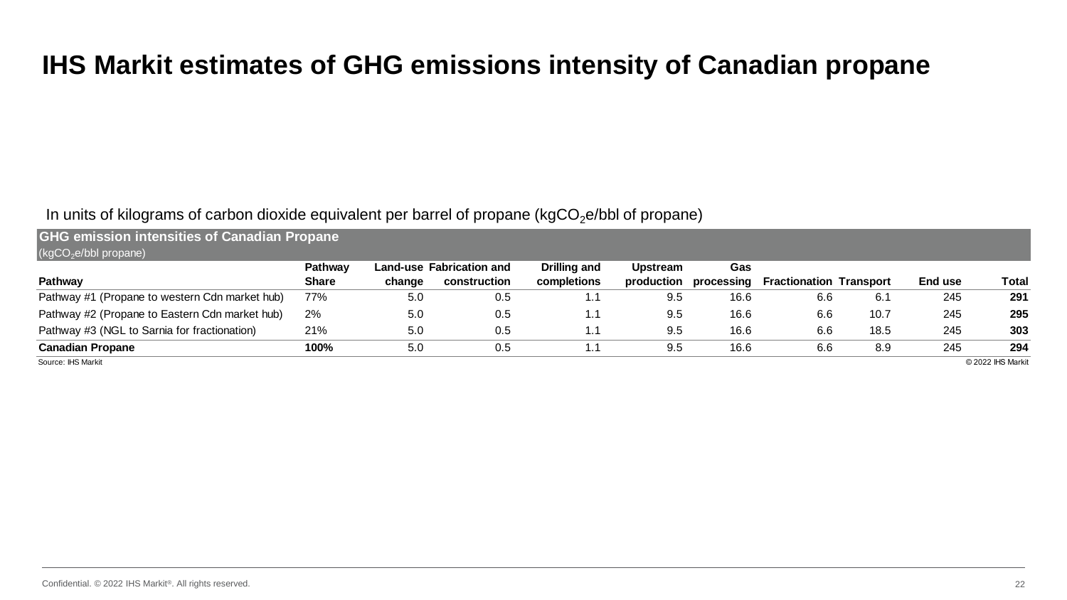#### **IHS Markit estimates of GHG emissions intensity of Canadian propane**

#### In units of kilograms of carbon dioxide equivalent per barrel of propane (kgCO<sub>2</sub>e/bbl of propane)

| <b>GHG emission intensities of Canadian Propane</b><br>$(kgCO2e/bbl$ propane) |                |        |                          |              |                 |            |                                |      |         |                   |
|-------------------------------------------------------------------------------|----------------|--------|--------------------------|--------------|-----------------|------------|--------------------------------|------|---------|-------------------|
|                                                                               | <b>Pathway</b> |        | Land-use Fabrication and | Drilling and | <b>Upstream</b> | <b>Gas</b> |                                |      |         |                   |
| Pathway                                                                       | <b>Share</b>   | change | construction             | completions  | production      | processing | <b>Fractionation Transport</b> |      | End use | <b>Total</b>      |
| Pathway #1 (Propane to western Cdn market hub)                                | 77%            | 5.0    | 0.5                      |              | 9.5             | 16.6       | 6.6                            | 6.1  | 245     | 291               |
| Pathway #2 (Propane to Eastern Cdn market hub)                                | 2%             | 5.0    | 0.5                      | 1.1          | 9.5             | 16.6       | 6.6                            | 10.7 | 245     | 295               |
| Pathway #3 (NGL to Sarnia for fractionation)                                  | 21%            | 5.0    | 0.5                      |              | 9.5             | 16.6       | 6.6                            | 18.5 | 245     | 303               |
| <b>Canadian Propane</b>                                                       | 100%           | 5.0    | 0.5                      |              | 9.5             | 16.6       | 6.6                            | 8.9  | 245     | 294               |
| Source: IHS Markit                                                            |                |        |                          |              |                 |            |                                |      |         | © 2022 IHS Markit |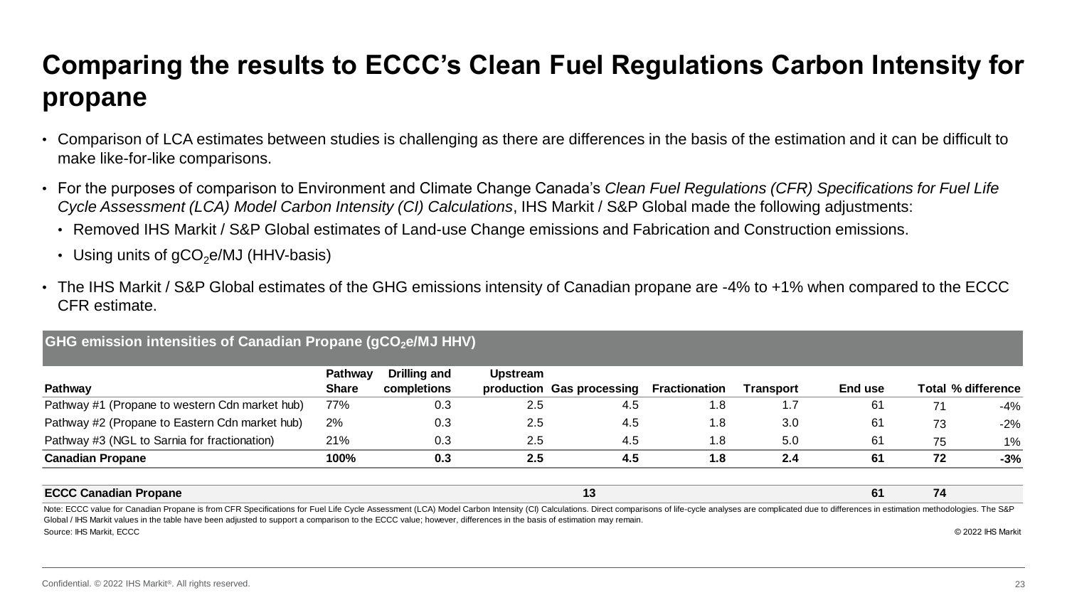### **Comparing the results to ECCC's Clean Fuel Regulations Carbon Intensity for propane**

- Comparison of LCA estimates between studies is challenging as there are differences in the basis of the estimation and it can be difficult to make like-for-like comparisons.
- For the purposes of comparison to Environment and Climate Change Canada's *Clean Fuel Regulations (CFR) Specifications for Fuel Life Cycle Assessment (LCA) Model Carbon Intensity (CI) Calculations*, IHS Markit / S&P Global made the following adjustments:
	- Removed IHS Markit / S&P Global estimates of Land-use Change emissions and Fabrication and Construction emissions.
	- Using units of  $qCO<sub>2</sub>e/MJ$  (HHV-basis)
- The IHS Markit / S&P Global estimates of the GHG emissions intensity of Canadian propane are -4% to +1% when compared to the ECCC CFR estimate.

#### **GHG emission intensities of Canadian Propane (gCO2e/MJ HHV)**

|                                                                                                                                                                                                                                | Pathway      | Drilling and | Upstream |                           |                      |           |                |    |                    |
|--------------------------------------------------------------------------------------------------------------------------------------------------------------------------------------------------------------------------------|--------------|--------------|----------|---------------------------|----------------------|-----------|----------------|----|--------------------|
| Pathway                                                                                                                                                                                                                        | <b>Share</b> | completions  |          | production Gas processing | <b>Fractionation</b> | Transport | End use        |    | Total % difference |
| Pathway #1 (Propane to western Cdn market hub)                                                                                                                                                                                 | 77%          | 0.3          | 2.5      | 4.5                       | 1.8                  | ، 7       | 61             | 71 | -4%                |
| Pathway #2 (Propane to Eastern Cdn market hub)                                                                                                                                                                                 | 2%           | 0.3          | 2.5      | 4.5                       | 1.8                  | 3.0       | 6 <sup>1</sup> | 73 | $-2\%$             |
| Pathway #3 (NGL to Sarnia for fractionation)                                                                                                                                                                                   | 21%          | 0.3          | 2.5      | 4.5                       | 1.8                  | 5.0       | 6 <sup>1</sup> | 75 | 1%                 |
| <b>Canadian Propane</b>                                                                                                                                                                                                        | 100%         | 0.3          | 2.5      | 4.5                       | 1.8                  | 2.4       | 61             | 72 | $-3%$              |
| <b>ECCC Canadian Propane</b>                                                                                                                                                                                                   |              |              |          | 13                        |                      |           | 61             | 74 |                    |
| Note: ECCC value for Canadian Propane is from CER Specifications for Eugl Life Cycle Assessment (LCA) Model Carbon Intensity (CI) Calculations Direct comparisons of life-ovele analyses are complicated due to differences in |              |              |          |                           |                      |           |                |    |                    |

Source: IHS Markit, ECCC © 2022 IHS Markit Note: ECCC value for Canadian Propane is from CFR Specifications for Fuel Life Cycle Assessment (LCA) Model Carbon Intensity (CI) Calculations. Direct comparisons of life-cycle analyses are complicated due to differences i Global / IHS Markit values in the table have been adjusted to support a comparison to the ECCC value; however, differences in the basis of estimation may remain.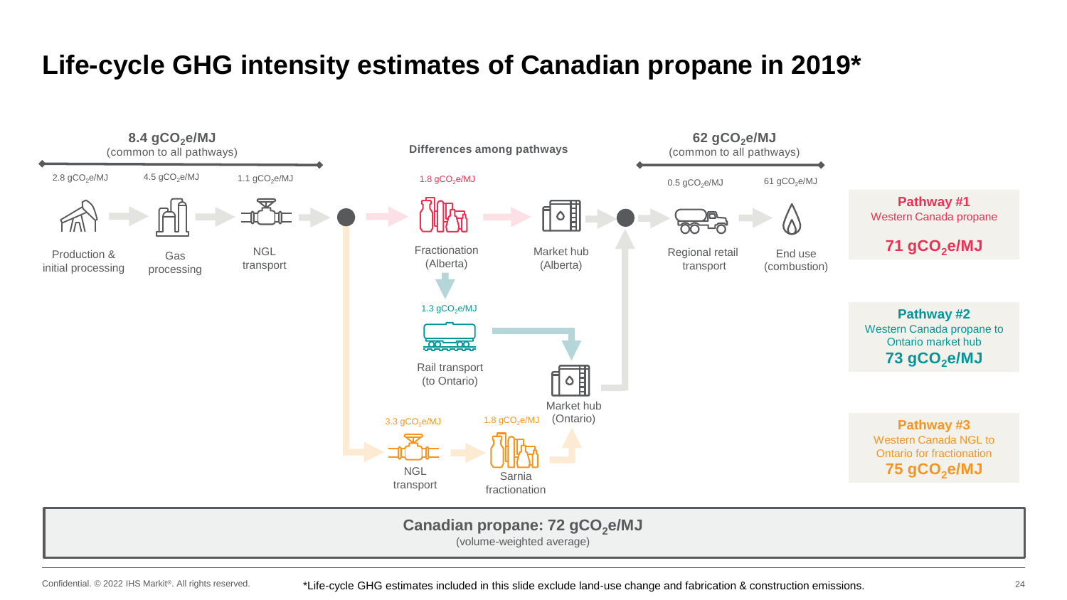### **Life-cycle GHG intensity estimates of Canadian propane in 2019\***



#### Canadian propane: 72 gCO<sub>2</sub>e/MJ

(volume-weighted average)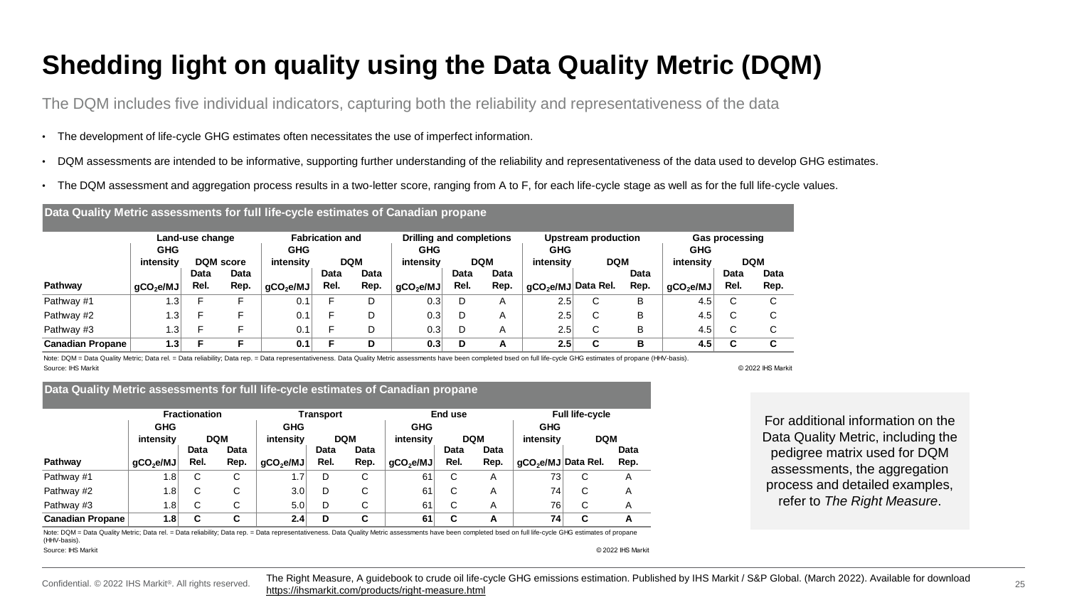### **Shedding light on quality using the Data Quality Metric (DQM)**

The DQM includes five individual indicators, capturing both the reliability and representativeness of the data

- The development of life-cycle GHG estimates often necessitates the use of imperfect information.
- DQM assessments are intended to be informative, supporting further understanding of the reliability and representativeness of the data used to develop GHG estimates.
- The DQM assessment and aggregation process results in a two-letter score, ranging from A to F, for each life-cycle stage as well as for the full life-cycle values.

#### **Data Quality Metric assessments for full life-cycle estimates of Canadian propane GHG intensity GHG intensity GHG intensity GHG intensity Pathway gCO2e/MJ Data Rel. Data Rep. gCO2e/MJ Data Rel. Data Rep. gCO2e/MJ Data Rel. Data Rep. gCO2e/MJ Data Rel. Data Rep. gCO2e/MJ Upstream production Gas processing DQM score DQM DQM DQM DQM Land-use change Fabrication and Drilling and completions**

| <b>Canadian Propane</b> | .                  |  | U. 1 |   | 0.3 | π, | د.ء  |   |     | ⊶. J |   |
|-------------------------|--------------------|--|------|---|-----|----|------|---|-----|------|---|
| Pathway #3              | $\sqrt{2}$<br>⊣د   |  | ◡.   |   | 0.3 |    | د.∠  | ∼ | ◡   | 4.ບ  | ⌒ |
| Pathway #2              | $\sqrt{2}$<br>، ن، |  | υ.   |   | 0.3 |    | د.∠  | ╰ |     | 4.ບ  |   |
| Pathway #1              | ' بی               |  | ◡.   | ◡ | U.3 |    | ∘ت.∠ | ╰ | . . | +.ບ  |   |

Note: DQM = Data Quality Metric; Data rel. = Data reliability; Data rep. = Data representativeness. Data Quality Metric assessments have been completed bsed on full life-cycle GHG estimates of propane (HHV-basis). Source: IHS Markit © 2022 IHS Markit

#### **Data Quality Metric assessments for full life-cycle estimates of Canadian propane**

|                         |                       | <b>Fractionation</b> |            |                       | Transport |            |                       | End use |            |                                 | <b>Full life-cycle</b> |      |  |
|-------------------------|-----------------------|----------------------|------------|-----------------------|-----------|------------|-----------------------|---------|------------|---------------------------------|------------------------|------|--|
|                         | <b>GHG</b>            |                      |            | <b>GHG</b>            |           |            | <b>GHG</b>            |         |            | <b>GHG</b>                      |                        |      |  |
|                         | intensity             |                      | <b>DQM</b> | intensity             |           | <b>DQM</b> | intensity             |         | <b>DQM</b> | intensity                       | <b>DQM</b>             |      |  |
|                         |                       | Data                 | Data       |                       | Data      | Data       |                       | Data    | Data       |                                 |                        | Data |  |
| Pathway                 | gCO <sub>2</sub> e/MJ | Rel.                 | Rep.       | gCO <sub>2</sub> e/MJ | Rel.      | Rep.       | qCO <sub>2</sub> e/MJ | Rel.    | Rep.       | gCO <sub>2</sub> e/MJ Data Rel. |                        | Rep. |  |
| Pathway #1              | 1.8                   | C                    | С          | 1.7 <sub>1</sub>      | D         | С          | 61                    | С       | A          | 731                             | С                      | A    |  |
| Pathway #2              | 1.8                   | C                    | С          | 3.0                   | D         | С          | 61                    | С       | A          | 74                              | С                      | A    |  |
| Pathway #3              | $1.8^{+}$             | C                    | С          | 5.0                   | D         | С          | 61                    | С       | A          | 76                              | С                      | A    |  |
| <b>Canadian Propane</b> | 1.8                   | C                    | С          | 2.4                   | D         | C          | 61                    | С       | A          | 74                              | С                      | А    |  |

Source: IHS Markit © 2022 IHS Markit Note: DQM = Data Quality Metric; Data rel. = Data reliability; Data rep. = Data representativeness. Data Quality Metric assessments have been completed bsed on full life-cycle GHG estimates of propane (HHV-basis).

**Data Rep.**

**GHG intensity**

> **Data Rel.**

> > For additional information on the Data Quality Metric, including the pedigree matrix used for DQM assessments, the aggregation process and detailed examples, refer to *The Right Measure*.

Confidential. © 2022 IHS Markit®. All rights reserved.

The Right Measure, A guidebook to crude oil life-cycle GHG emissions estimation. Published by IHS Markit / S&P Global. (March 2022). Available for download <https://ihsmarkit.com/products/right-measure.html>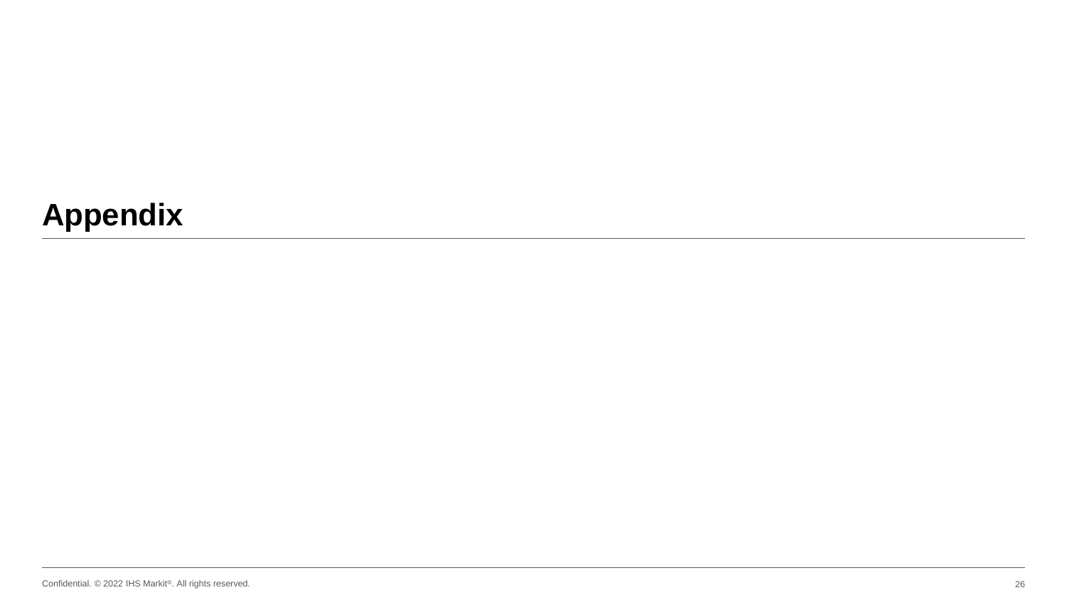# **Appendix**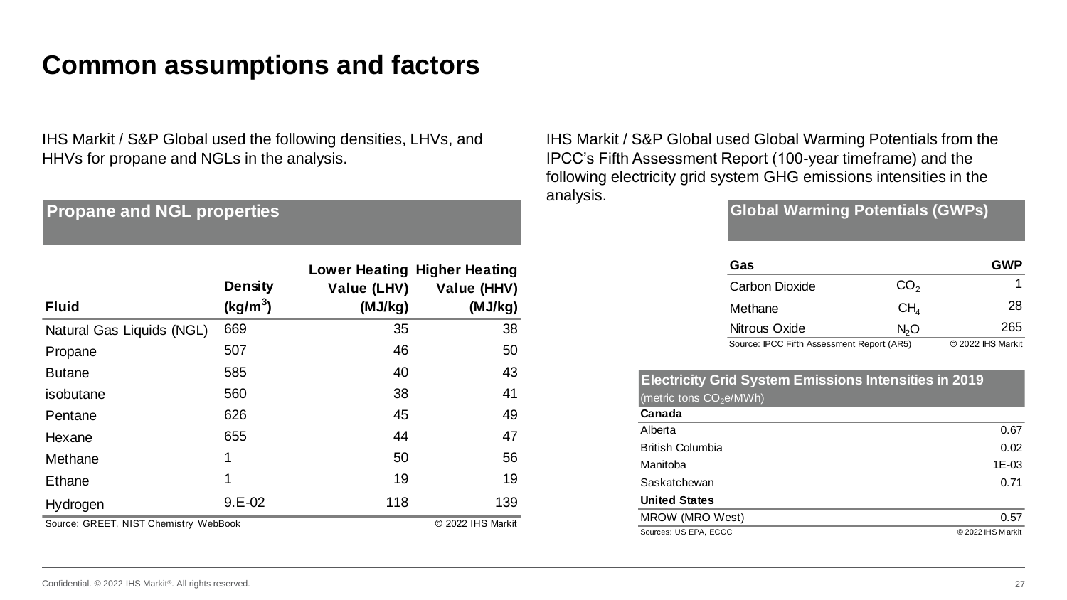#### **Common assumptions and factors**

IHS Markit / S&P Global used the following densities, LHVs, and HHVs for propane and NGLs in the analysis.

**Propane and NGL properties**

|                                       | <b>Density</b> | Value (LHV)       | <b>Lower Heating Higher Heating</b><br>Value (HHV) |
|---------------------------------------|----------------|-------------------|----------------------------------------------------|
| <b>Fluid</b>                          | $(kg/m^3)$     | (MJ/kg)           | (MJ/kg)                                            |
| Natural Gas Liquids (NGL)             | 669            | 35                | 38                                                 |
| Propane                               | 507            | 46                | 50                                                 |
| <b>Butane</b>                         | 585            | 40                | 43                                                 |
| isobutane                             | 560            | 38                | 41                                                 |
| Pentane                               | 626            | 45                | 49                                                 |
| Hexane                                | 655            | 44                | 47                                                 |
| Methane                               | 1              | 50                | 56                                                 |
| Ethane                                | 1              | 19                | 19                                                 |
| Hydrogen                              | $9.E-02$       | 118               | 139                                                |
| Source: GREET, NIST Chemistry WebBook |                | © 2022 IHS Markit |                                                    |

IHS Markit / S&P Global used Global Warming Potentials from the IPCC's Fifth Assessment Report (100-year timeframe) and the following electricity grid system GHG emissions intensities in the analysis.

**Global Warming Potentials (GWPs)**

| Gas                                        |                  | <b>GWP</b>        |
|--------------------------------------------|------------------|-------------------|
| <b>Carbon Dioxide</b>                      | CO <sub>2</sub>  |                   |
| Methane                                    | CH <sub>4</sub>  | 28                |
| Nitrous Oxide                              | N <sub>2</sub> O | 265               |
| Source: IPCC Fifth Assessment Report (AR5) |                  | © 2022 IHS Markit |

#### **Electricity Grid System Emissions Intensities in 2019** (metric tons  $CO<sub>2</sub>e/MWh$ )

| Canada                  |                   |
|-------------------------|-------------------|
| Alberta                 | 0.67              |
| <b>British Columbia</b> | 0.02              |
| Manitoba                | 1E-03             |
| Saskatchewan            | 0.71              |
| <b>United States</b>    |                   |
| MROW (MRO West)         | 0.57              |
| Sources: US EPA, ECCC   | © 2022 IHS Markit |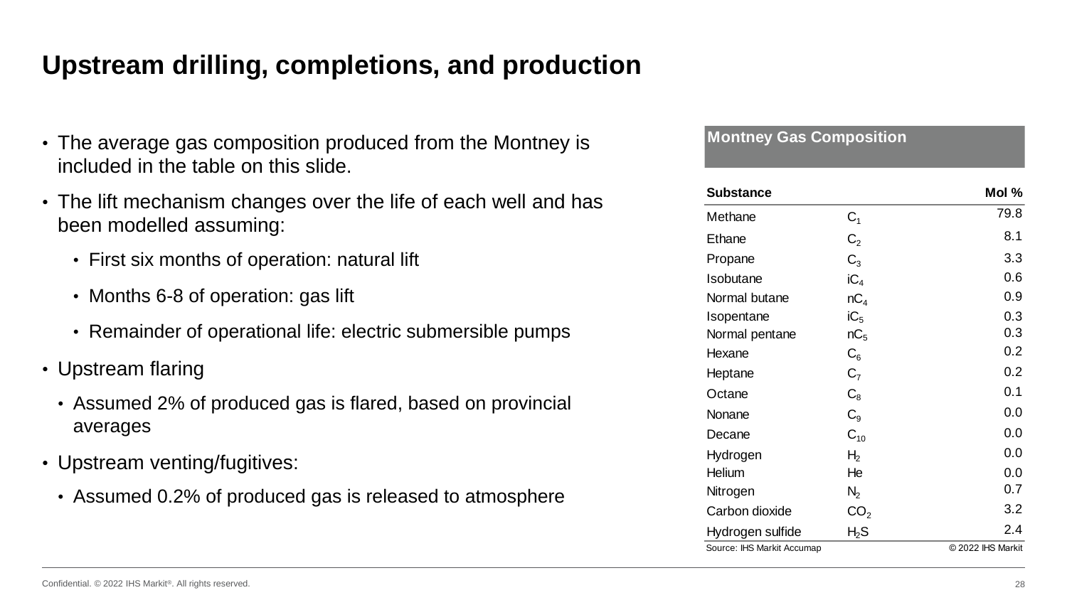### **Upstream drilling, completions, and production**

- The average gas composition produced from the Montney is included in the table on this slide.
- The lift mechanism changes over the life of each well and has been modelled assuming:
	- First six months of operation: natural lift
	- Months 6-8 of operation: gas lift
	- Remainder of operational life: electric submersible pumps
- Upstream flaring
	- Assumed 2% of produced gas is flared, based on provincial averages
- Upstream venting/fugitives:
	- Assumed 0.2% of produced gas is released to atmosphere

**Montney Gas Composition**

| <b>Substance</b>           |                 | Mol %             |
|----------------------------|-----------------|-------------------|
| Methane                    | $C_1$           | 79.8              |
| <b>Ethane</b>              | C <sub>2</sub>  | 8.1               |
| Propane                    | $C_3$           | 3.3               |
| Isobutane                  | $iC_4$          | 0.6               |
| Normal butane              | nC <sub>4</sub> | 0.9               |
| Isopentane                 | iC <sub>5</sub> | 0.3               |
| Normal pentane             | nC <sub>5</sub> | 0.3               |
| Hexane                     | $C_{6}$         | 0.2               |
| Heptane                    | C <sub>7</sub>  | 0.2               |
| Octane                     | $\mathrm{C}_8$  | 0.1               |
| Nonane                     | $C_{9}$         | 0.0               |
| Decane                     | $C_{10}$        | 0.0               |
| Hydrogen                   | H <sub>2</sub>  | 0.0               |
| Helium                     | He              | 0.0               |
| Nitrogen                   | $N_2$           | 0.7               |
| Carbon dioxide             | CO <sub>2</sub> | 3.2               |
| Hydrogen sulfide           | $H_{2}S$        | 2.4               |
| Source: IHS Markit Accumap |                 | © 2022 IHS Markit |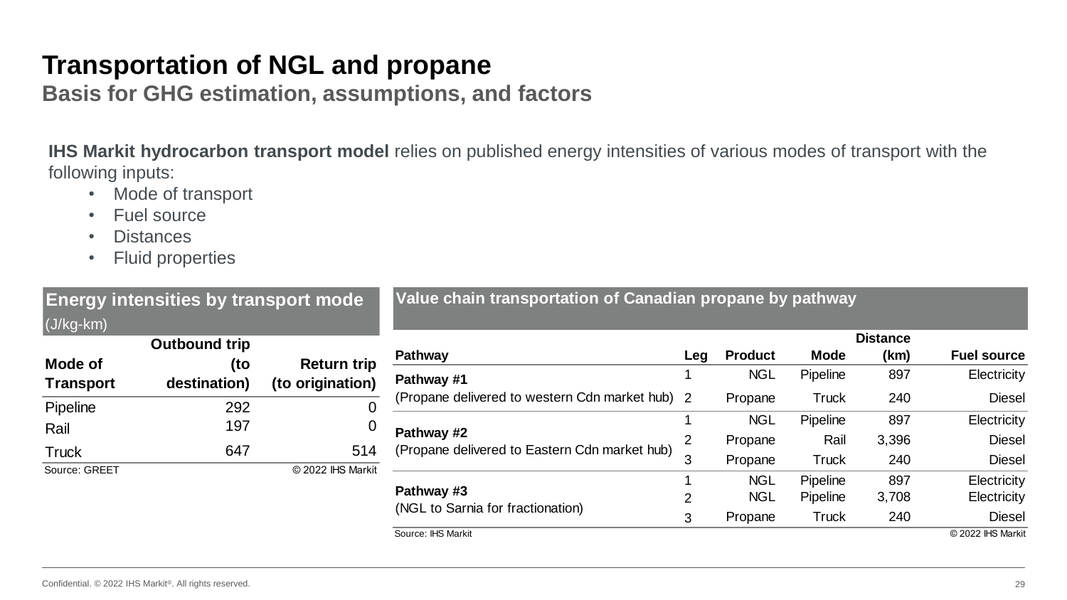### **Transportation of NGL and propane**

**Basis for GHG estimation, assumptions, and factors**

**IHS Markit hydrocarbon transport model** relies on published energy intensities of various modes of transport with the following inputs:

- Mode of transport
- Fuel source
- Distances
- Fluid properties

| <b>Energy intensities by transport mode</b><br>$(J/kg$ -km $)$ |                             |                    | Value chain transportation of Canadian propane by pathway                                                      |                |                |              |                         |                    |  |  |
|----------------------------------------------------------------|-----------------------------|--------------------|----------------------------------------------------------------------------------------------------------------|----------------|----------------|--------------|-------------------------|--------------------|--|--|
| Mode of                                                        | <b>Outbound trip</b><br>(to | <b>Return trip</b> | Pathway                                                                                                        | Leg            | <b>Product</b> | <b>Mode</b>  | <b>Distance</b><br>(km) | <b>Fuel source</b> |  |  |
| <b>Transport</b><br>destination)                               | (to origination)            | Pathway #1         |                                                                                                                | <b>NGL</b>     | Pipeline       | 897          | Electricity             |                    |  |  |
| Pipeline                                                       | 292                         | $\overline{0}$     | (Propane delivered to western Cdn market hub) 2<br>Pathway #2<br>(Propane delivered to Eastern Cdn market hub) |                | Propane        | <b>Truck</b> | 240                     | <b>Diesel</b>      |  |  |
| Rail                                                           | 197                         | $\overline{0}$     |                                                                                                                |                | <b>NGL</b>     | Pipeline     | 897                     | Electricity        |  |  |
| <b>Truck</b>                                                   | 647                         | 514                |                                                                                                                | 2              | Propane        | Rail         | 3,396                   | <b>Diesel</b>      |  |  |
| Source: GREET                                                  |                             | © 2022 IHS Markit  |                                                                                                                | 3              | Propane        | <b>Truck</b> | 240                     | <b>Diesel</b>      |  |  |
|                                                                |                             |                    | Pathway #3<br>(NGL to Sarnia for fractionation)                                                                |                | <b>NGL</b>     | Pipeline     | 897                     | Electricity        |  |  |
|                                                                |                             |                    |                                                                                                                | $\overline{2}$ | <b>NGL</b>     | Pipeline     | 3,708                   | Electricity        |  |  |
|                                                                |                             |                    |                                                                                                                | 3              | Propane        | <b>Truck</b> | 240                     | <b>Diesel</b>      |  |  |
|                                                                |                             |                    | Source: IHS Markit                                                                                             |                |                |              |                         | © 2022 IHS Markit  |  |  |